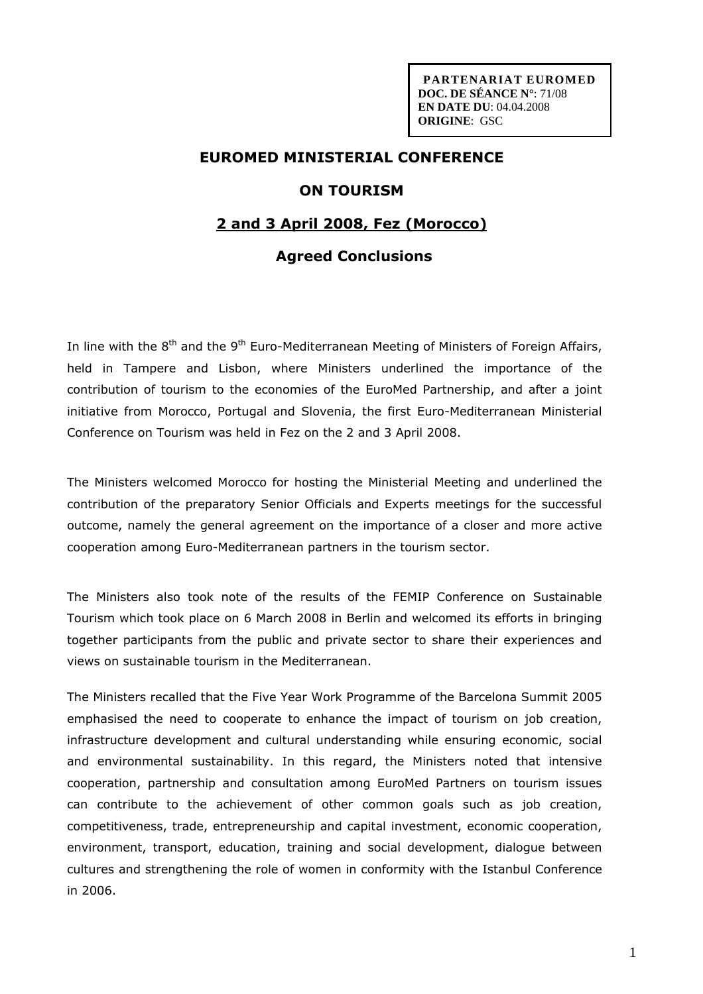**PARTENARIAT EUROMED DOC. DE SÉANCE N°**: 71/08 **EN DATE DU**: 04.04.2008 **ORIGINE**: GSC

# **EUROMED MINISTERIAL CONFERENCE**

#### **ON TOURISM**

### **2 and 3 April 2008, Fez (Morocco)**

## **Agreed Conclusions**

In line with the 8<sup>th</sup> and the 9<sup>th</sup> Euro-Mediterranean Meeting of Ministers of Foreign Affairs, held in Tampere and Lisbon, where Ministers underlined the importance of the contribution of tourism to the economies of the EuroMed Partnership, and after a joint initiative from Morocco, Portugal and Slovenia, the first Euro-Mediterranean Ministerial Conference on Tourism was held in Fez on the 2 and 3 April 2008.

The Ministers welcomed Morocco for hosting the Ministerial Meeting and underlined the contribution of the preparatory Senior Officials and Experts meetings for the successful outcome, namely the general agreement on the importance of a closer and more active cooperation among Euro-Mediterranean partners in the tourism sector.

The Ministers also took note of the results of the FEMIP Conference on Sustainable Tourism which took place on 6 March 2008 in Berlin and welcomed its efforts in bringing together participants from the public and private sector to share their experiences and views on sustainable tourism in the Mediterranean.

The Ministers recalled that the Five Year Work Programme of the Barcelona Summit 2005 emphasised the need to cooperate to enhance the impact of tourism on job creation, infrastructure development and cultural understanding while ensuring economic, social and environmental sustainability. In this regard, the Ministers noted that intensive cooperation, partnership and consultation among EuroMed Partners on tourism issues can contribute to the achievement of other common goals such as job creation, competitiveness, trade, entrepreneurship and capital investment, economic cooperation, environment, transport, education, training and social development, dialogue between cultures and strengthening the role of women in conformity with the Istanbul Conference in 2006.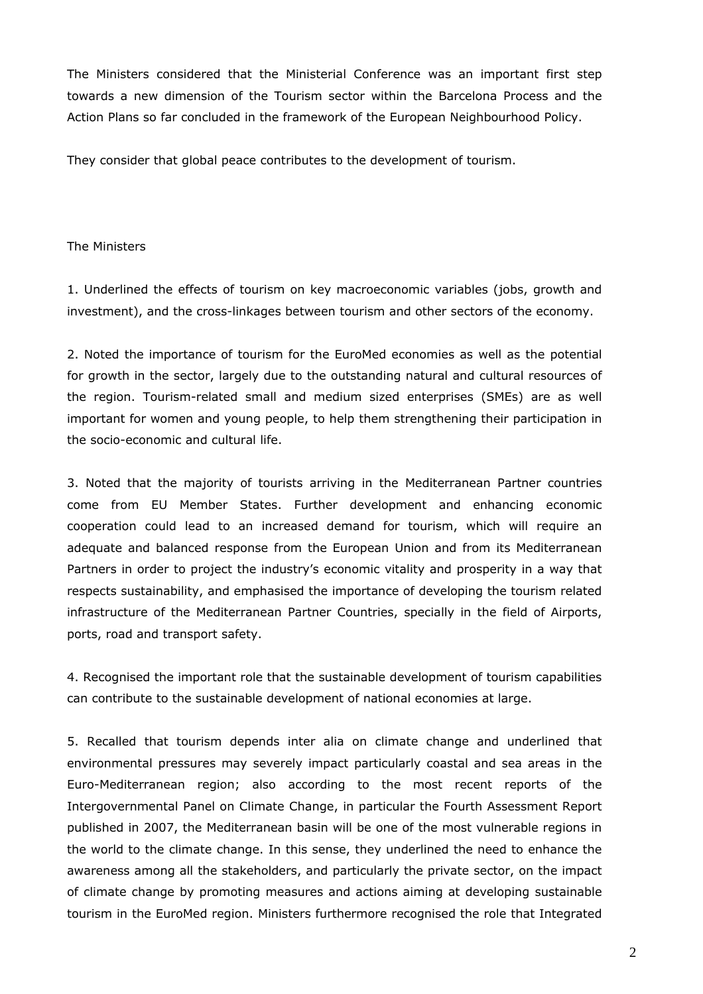The Ministers considered that the Ministerial Conference was an important first step towards a new dimension of the Tourism sector within the Barcelona Process and the Action Plans so far concluded in the framework of the European Neighbourhood Policy.

They consider that global peace contributes to the development of tourism.

#### The Ministers

1. Underlined the effects of tourism on key macroeconomic variables (jobs, growth and investment), and the cross-linkages between tourism and other sectors of the economy.

2. Noted the importance of tourism for the EuroMed economies as well as the potential for growth in the sector, largely due to the outstanding natural and cultural resources of the region. Tourism-related small and medium sized enterprises (SMEs) are as well important for women and young people, to help them strengthening their participation in the socio-economic and cultural life.

3. Noted that the majority of tourists arriving in the Mediterranean Partner countries come from EU Member States. Further development and enhancing economic cooperation could lead to an increased demand for tourism, which will require an adequate and balanced response from the European Union and from its Mediterranean Partners in order to project the industry's economic vitality and prosperity in a way that respects sustainability, and emphasised the importance of developing the tourism related infrastructure of the Mediterranean Partner Countries, specially in the field of Airports, ports, road and transport safety.

4. Recognised the important role that the sustainable development of tourism capabilities can contribute to the sustainable development of national economies at large.

5. Recalled that tourism depends inter alia on climate change and underlined that environmental pressures may severely impact particularly coastal and sea areas in the Euro-Mediterranean region; also according to the most recent reports of the Intergovernmental Panel on Climate Change, in particular the Fourth Assessment Report published in 2007, the Mediterranean basin will be one of the most vulnerable regions in the world to the climate change. In this sense, they underlined the need to enhance the awareness among all the stakeholders, and particularly the private sector, on the impact of climate change by promoting measures and actions aiming at developing sustainable tourism in the EuroMed region. Ministers furthermore recognised the role that Integrated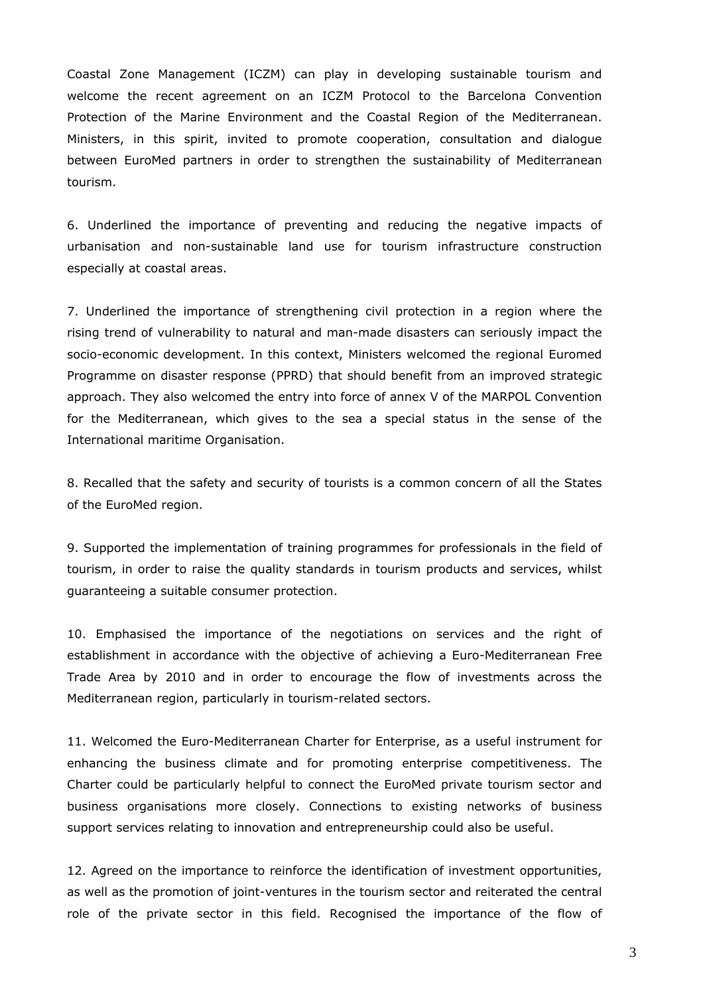Coastal Zone Management (ICZM) can play in developing sustainable tourism and welcome the recent agreement on an ICZM Protocol to the Barcelona Convention Protection of the Marine Environment and the Coastal Region of the Mediterranean. Ministers, in this spirit, invited to promote cooperation, consultation and dialogue between EuroMed partners in order to strengthen the sustainability of Mediterranean tourism.

6. Underlined the importance of preventing and reducing the negative impacts of urbanisation and non-sustainable land use for tourism infrastructure construction especially at coastal areas.

7. Underlined the importance of strengthening civil protection in a region where the rising trend of vulnerability to natural and man-made disasters can seriously impact the socio-economic development. In this context, Ministers welcomed the regional Euromed Programme on disaster response (PPRD) that should benefit from an improved strategic approach. They also welcomed the entry into force of annex V of the MARPOL Convention for the Mediterranean, which gives to the sea a special status in the sense of the International maritime Organisation.

8. Recalled that the safety and security of tourists is a common concern of all the States of the EuroMed region.

9. Supported the implementation of training programmes for professionals in the field of tourism, in order to raise the quality standards in tourism products and services, whilst guaranteeing a suitable consumer protection.

10. Emphasised the importance of the negotiations on services and the right of establishment in accordance with the objective of achieving a Euro-Mediterranean Free Trade Area by 2010 and in order to encourage the flow of investments across the Mediterranean region, particularly in tourism-related sectors.

11. Welcomed the Euro-Mediterranean Charter for Enterprise, as a useful instrument for enhancing the business climate and for promoting enterprise competitiveness. The Charter could be particularly helpful to connect the EuroMed private tourism sector and business organisations more closely. Connections to existing networks of business support services relating to innovation and entrepreneurship could also be useful.

12. Agreed on the importance to reinforce the identification of investment opportunities, as well as the promotion of joint-ventures in the tourism sector and reiterated the central role of the private sector in this field. Recognised the importance of the flow of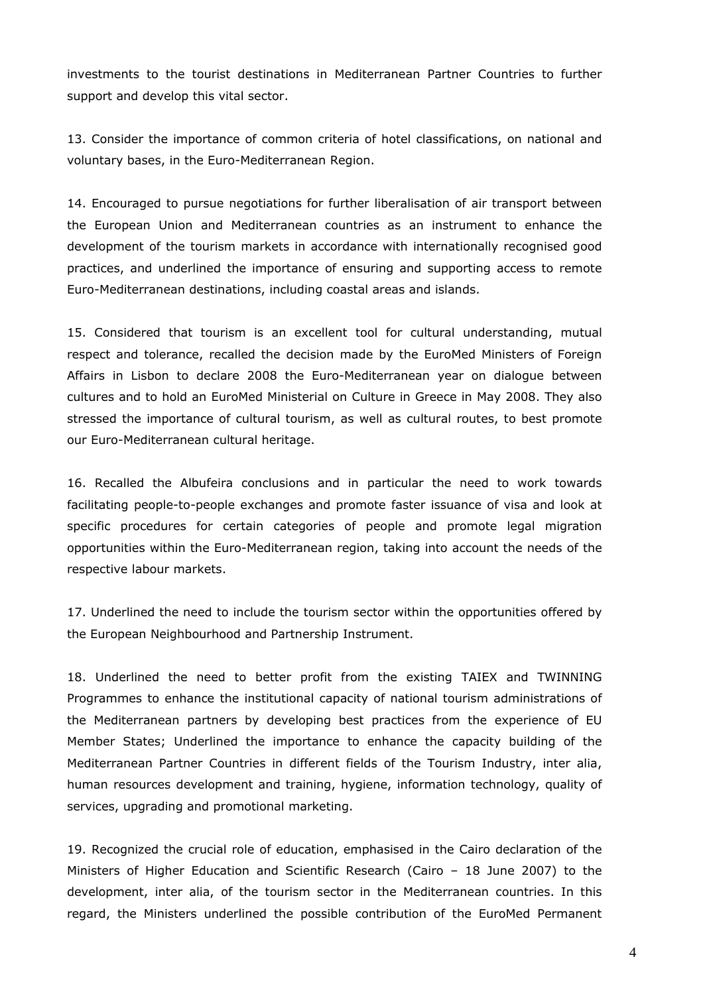investments to the tourist destinations in Mediterranean Partner Countries to further support and develop this vital sector.

13. Consider the importance of common criteria of hotel classifications, on national and voluntary bases, in the Euro-Mediterranean Region.

14. Encouraged to pursue negotiations for further liberalisation of air transport between the European Union and Mediterranean countries as an instrument to enhance the development of the tourism markets in accordance with internationally recognised good practices, and underlined the importance of ensuring and supporting access to remote Euro-Mediterranean destinations, including coastal areas and islands.

15. Considered that tourism is an excellent tool for cultural understanding, mutual respect and tolerance, recalled the decision made by the EuroMed Ministers of Foreign Affairs in Lisbon to declare 2008 the Euro-Mediterranean year on dialogue between cultures and to hold an EuroMed Ministerial on Culture in Greece in May 2008. They also stressed the importance of cultural tourism, as well as cultural routes, to best promote our Euro-Mediterranean cultural heritage.

16. Recalled the Albufeira conclusions and in particular the need to work towards facilitating people-to-people exchanges and promote faster issuance of visa and look at specific procedures for certain categories of people and promote legal migration opportunities within the Euro-Mediterranean region, taking into account the needs of the respective labour markets.

17. Underlined the need to include the tourism sector within the opportunities offered by the European Neighbourhood and Partnership Instrument.

18. Underlined the need to better profit from the existing TAIEX and TWINNING Programmes to enhance the institutional capacity of national tourism administrations of the Mediterranean partners by developing best practices from the experience of EU Member States; Underlined the importance to enhance the capacity building of the Mediterranean Partner Countries in different fields of the Tourism Industry, inter alia, human resources development and training, hygiene, information technology, quality of services, upgrading and promotional marketing.

19. Recognized the crucial role of education, emphasised in the Cairo declaration of the Ministers of Higher Education and Scientific Research (Cairo – 18 June 2007) to the development, inter alia, of the tourism sector in the Mediterranean countries. In this regard, the Ministers underlined the possible contribution of the EuroMed Permanent